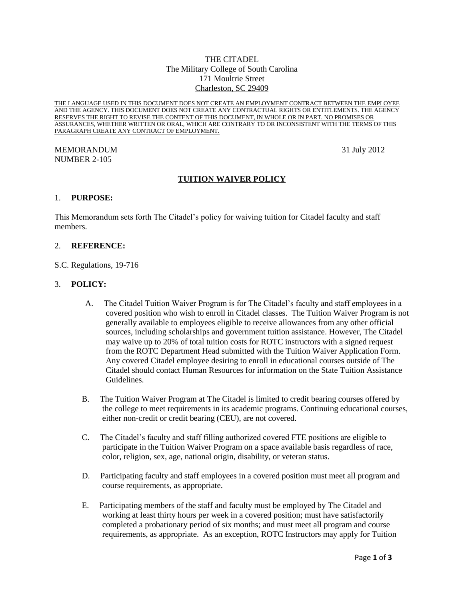### THE CITADEL The Military College of South Carolina 171 Moultrie Street Charleston, SC 29409

THE LANGUAGE USED IN THIS DOCUMENT DOES NOT CREATE AN EMPLOYMENT CONTRACT BETWEEN THE EMPLOYEE AND THE AGENCY. THIS DOCUMENT DOES NOT CREATE ANY CONTRACTUAL RIGHTS OR ENTITLEMENTS. THE AGENCY RESERVES THE RIGHT TO REVISE THE CONTENT OF THIS DOCUMENT, IN WHOLE OR IN PART. NO PROMISES OR ASSURANCES, WHETHER WRITTEN OR ORAL, WHICH ARE CONTRARY TO OR INCONSISTENT WITH THE TERMS OF THIS PARAGRAPH CREATE ANY CONTRACT OF EMPLOYMENT.

#### MEMORANDUM 31 July 2012 NUMBER 2-105

## **TUITION WAIVER POLICY**

### 1. **PURPOSE:**

This Memorandum sets forth The Citadel's policy for waiving tuition for Citadel faculty and staff members.

### 2. **REFERENCE:**

S.C. Regulations, 19-716

#### 3. **POLICY:**

- A. The Citadel Tuition Waiver Program is for The Citadel's faculty and staff employees in a covered position who wish to enroll in Citadel classes. The Tuition Waiver Program is not generally available to employees eligible to receive allowances from any other official sources, including scholarships and government tuition assistance. However, The Citadel may waive up to 20% of total tuition costs for ROTC instructors with a signed request from the ROTC Department Head submitted with the Tuition Waiver Application Form. Any covered Citadel employee desiring to enroll in educational courses outside of The Citadel should contact Human Resources for information on the State Tuition Assistance Guidelines.
- B. The Tuition Waiver Program at The Citadel is limited to credit bearing courses offered by the college to meet requirements in its academic programs. Continuing educational courses, either non-credit or credit bearing (CEU), are not covered.
- C. The Citadel's faculty and staff filling authorized covered FTE positions are eligible to participate in the Tuition Waiver Program on a space available basis regardless of race, color, religion, sex, age, national origin, disability, or veteran status.
- D. Participating faculty and staff employees in a covered position must meet all program and course requirements, as appropriate.
- E. Participating members of the staff and faculty must be employed by The Citadel and working at least thirty hours per week in a covered position; must have satisfactorily completed a probationary period of six months; and must meet all program and course requirements, as appropriate. As an exception, ROTC Instructors may apply for Tuition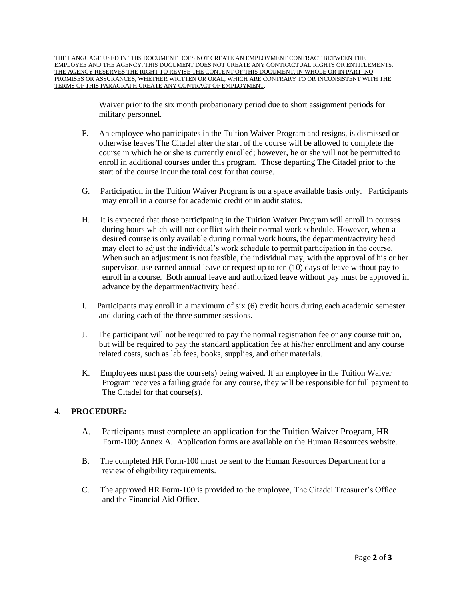THE LANGUAGE USED IN THIS DOCUMENT DOES NOT CREATE AN EMPLOYMENT CONTRACT BETWEEN THE EMPLOYEE AND THE AGENCY. THIS DOCUMENT DOES NOT CREATE ANY CONTRACTUAL RIGHTS OR ENTITLEMENTS. THE AGENCY RESERVES THE RIGHT TO REVISE THE CONTENT OF THIS DOCUMENT, IN WHOLE OR IN PART. NO PROMISES OR ASSURANCES, WHETHER WRITTEN OR ORAL, WHICH ARE CONTRARY TO OR INCONSISTENT WITH THE TERMS OF THIS PARAGRAPH CREATE ANY CONTRACT OF EMPLOYMENT.

> Waiver prior to the six month probationary period due to short assignment periods for military personnel.

- F. An employee who participates in the Tuition Waiver Program and resigns, is dismissed or otherwise leaves The Citadel after the start of the course will be allowed to complete the course in which he or she is currently enrolled; however, he or she will not be permitted to enroll in additional courses under this program. Those departing The Citadel prior to the start of the course incur the total cost for that course.
- G. Participation in the Tuition Waiver Program is on a space available basis only. Participants may enroll in a course for academic credit or in audit status.
- H. It is expected that those participating in the Tuition Waiver Program will enroll in courses during hours which will not conflict with their normal work schedule. However, when a desired course is only available during normal work hours, the department/activity head may elect to adjust the individual's work schedule to permit participation in the course. When such an adjustment is not feasible, the individual may, with the approval of his or her supervisor, use earned annual leave or request up to ten (10) days of leave without pay to enroll in a course. Both annual leave and authorized leave without pay must be approved in advance by the department/activity head.
- I. Participants may enroll in a maximum of six (6) credit hours during each academic semester and during each of the three summer sessions.
- J. The participant will not be required to pay the normal registration fee or any course tuition, but will be required to pay the standard application fee at his/her enrollment and any course related costs, such as lab fees, books, supplies, and other materials.
- K. Employees must pass the course(s) being waived. If an employee in the Tuition Waiver Program receives a failing grade for any course, they will be responsible for full payment to The Citadel for that course(s).

# 4. **PROCEDURE:**

- A. Participants must complete an application for the Tuition Waiver Program, HR Form-100; Annex A. Application forms are available on the Human Resources website.
- B. The completed HR Form-100 must be sent to the Human Resources Department for a review of eligibility requirements.
- C. The approved HR Form-100 is provided to the employee, The Citadel Treasurer's Office and the Financial Aid Office.